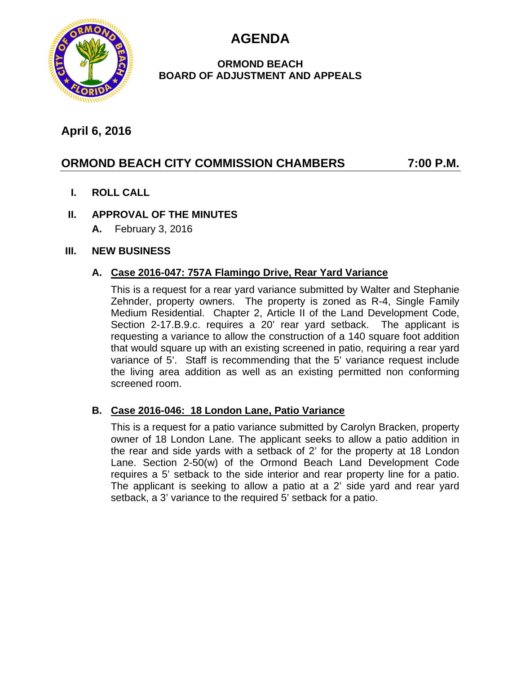**AGENDA**



## **ORMOND BEACH BOARD OF ADJUSTMENT AND APPEALS**

# **April 6, 2016**

# **ORMOND BEACH CITY COMMISSION CHAMBERS 7:00 P.M.**

**I. ROLL CALL**

## **II. APPROVAL OF THE MINUTES**

**A.** February 3, 2016

#### **III. NEW BUSINESS**

#### **A. Case 2016-047: 757A Flamingo Drive, Rear Yard Variance**

This is a request for a rear yard variance submitted by Walter and Stephanie Zehnder, property owners. The property is zoned as R-4, Single Family Medium Residential. Chapter 2, Article II of the Land Development Code, Section 2-17.B.9.c. requires a 20' rear yard setback. The applicant is requesting a variance to allow the construction of a 140 square foot addition that would square up with an existing screened in patio, requiring a rear yard variance of 5'. Staff is recommending that the 5' variance request include the living area addition as well as an existing permitted non conforming screened room.

## **B. Case 2016-046: 18 London Lane, Patio Variance**

This is a request for a patio variance submitted by Carolyn Bracken, property owner of 18 London Lane. The applicant seeks to allow a patio addition in the rear and side yards with a setback of 2' for the property at 18 London Lane. Section 2-50(w) of the Ormond Beach Land Development Code requires a 5' setback to the side interior and rear property line for a patio. The applicant is seeking to allow a patio at a 2' side yard and rear yard setback, a 3' variance to the required 5' setback for a patio.